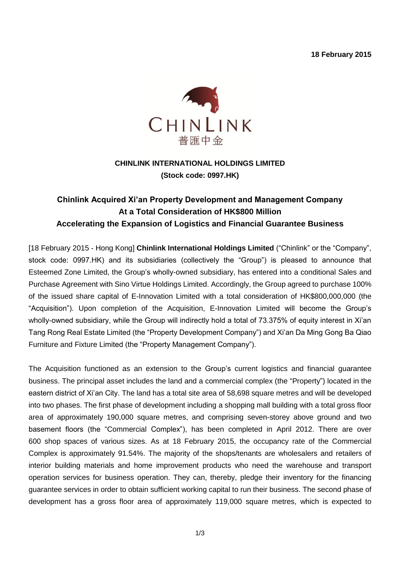**18 February 2015**



## **CHINLINK INTERNATIONAL HOLDINGS LIMITED (Stock code: 0997.HK)**

# **Chinlink Acquired Xi'an Property Development and Management Company At a Total Consideration of HK\$800 Million Accelerating the Expansion of Logistics and Financial Guarantee Business**

[18 February 2015 - Hong Kong] **Chinlink International Holdings Limited** ("Chinlink" or the "Company", stock code: 0997.HK) and its subsidiaries (collectively the "Group") is pleased to announce that Esteemed Zone Limited, the Group's wholly-owned subsidiary, has entered into a conditional Sales and Purchase Agreement with Sino Virtue Holdings Limited. Accordingly, the Group agreed to purchase 100% of the issued share capital of E-Innovation Limited with a total consideration of HK\$800,000,000 (the "Acquisition"). Upon completion of the Acquisition, E-Innovation Limited will become the Group's wholly-owned subsidiary, while the Group will indirectly hold a total of 73.375% of equity interest in Xi'an Tang Rong Real Estate Limited (the "Property Development Company") and Xi'an Da Ming Gong Ba Qiao Furniture and Fixture Limited (the "Property Management Company").

The Acquisition functioned as an extension to the Group's current logistics and financial guarantee business. The principal asset includes the land and a commercial complex (the "Property") located in the eastern district of Xi'an City. The land has a total site area of 58,698 square metres and will be developed into two phases. The first phase of development including a shopping mall building with a total gross floor area of approximately 190,000 square metres, and comprising seven-storey above ground and two basement floors (the "Commercial Complex"), has been completed in April 2012. There are over 600 shop spaces of various sizes. As at 18 February 2015, the occupancy rate of the Commercial Complex is approximately 91.54%. The majority of the shops/tenants are wholesalers and retailers of interior building materials and home improvement products who need the warehouse and transport operation services for business operation. They can, thereby, pledge their inventory for the financing guarantee services in order to obtain sufficient working capital to run their business. The second phase of development has a gross floor area of approximately 119,000 square metres, which is expected to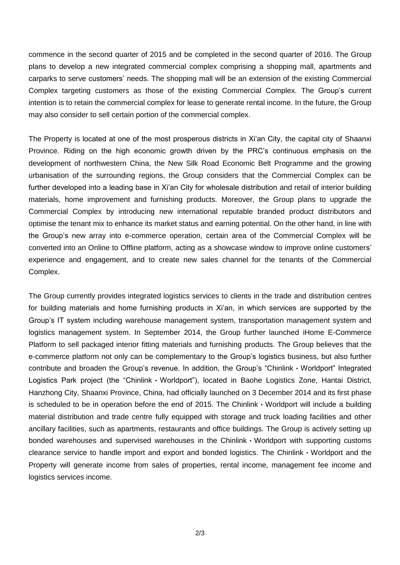commence in the second quarter of 2015 and be completed in the second quarter of 2016. The Group plans to develop a new integrated commercial complex comprising a shopping mall, apartments and carparks to serve customers' needs. The shopping mall will be an extension of the existing Commercial Complex targeting customers as those of the existing Commercial Complex. The Group's current intention is to retain the commercial complex for lease to generate rental income. In the future, the Group may also consider to sell certain portion of the commercial complex.

The Property is located at one of the most prosperous districts in Xi'an City, the capital city of Shaanxi Province. Riding on the high economic growth driven by the PRC's continuous emphasis on the development of northwestern China, the New Silk Road Economic Belt Programme and the growing urbanisation of the surrounding regions, the Group considers that the Commercial Complex can be further developed into a leading base in Xi'an City for wholesale distribution and retail of interior building materials, home improvement and furnishing products. Moreover, the Group plans to upgrade the Commercial Complex by introducing new international reputable branded product distributors and optimise the tenant mix to enhance its market status and earning potential. On the other hand, in line with the Group's new array into e-commerce operation, certain area of the Commercial Complex will be converted into an Online to Offline platform, acting as a showcase window to improve online customers' experience and engagement, and to create new sales channel for the tenants of the Commercial Complex.

The Group currently provides integrated logistics services to clients in the trade and distribution centres for building materials and home furnishing products in Xi'an, in which services are supported by the Group's IT system including warehouse management system, transportation management system and logistics management system. In September 2014, the Group further launched iHome E-Commerce Platform to sell packaged interior fitting materials and furnishing products. The Group believes that the e-commerce platform not only can be complementary to the Group's logistics business, but also further contribute and broaden the Group's revenue. In addition, the Group's "Chinlink・Worldport" Integrated Logistics Park project (the "Chinlink · Worldport"), located in Baohe Logistics Zone, Hantai District, Hanzhong City, Shaanxi Province, China, had officially launched on 3 December 2014 and its first phase is scheduled to be in operation before the end of 2015. The Chinlink・Worldport will include a building material distribution and trade centre fully equipped with storage and truck loading facilities and other ancillary facilities, such as apartments, restaurants and office buildings. The Group is actively setting up bonded warehouses and supervised warehouses in the Chinlink・Worldport with supporting customs clearance service to handle import and export and bonded logistics. The Chinlink・Worldport and the Property will generate income from sales of properties, rental income, management fee income and logistics services income.